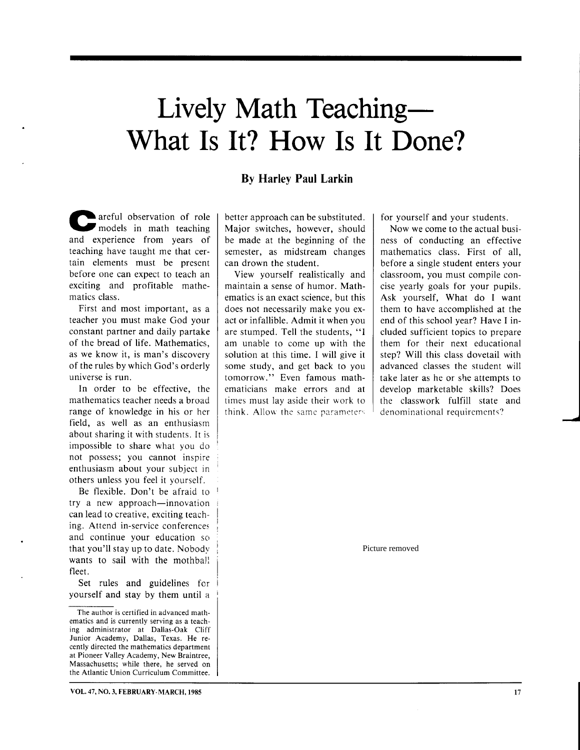# What Is It? How Is It Done? Lively Math Teaching

#### By Harley Paul Larkin

areful observation of role models in math teachine and experience from years of teaching have taught me that certain elements must be present before one can expect to teach an exciting and profitable mathematics class.

First and most important, as a teacher you must make God your constant partner and daily partake of the bread of life. Mathematics, as we know it, is man's discovery of the rules by which God's orderly universe is run.

In order to be effective, the mathematics teacher needs a broad range of knowledge in his or her field, as well as an enthusiasm about sharing it with students. It is impossible to share what you do not possess; you cannot inspire enthusiasm about your subject in others unless you feel it yourself.

Be flexible. Don't be afraid to try a new approach-innovation can lead to creative, exciting teaching. Attend in-service conferences and continue your education so that you'll stay up to date. Nobodv wants to sail with the mothball fleet.

Set rules and guidelines for yourself and stay by them until a

better approach can be substituted. Major switches, however, should be made at the beginning of the semester, as midstream changes can drown the student.

View yourself realistically and maintain a sense of humor. Mathematics is an exact science, but this does not necessarily make you exact or infallible. Admit it when you are stumped. Tell the students, "I am unable to come up with the solution at this time. I will give it some study, and get back to you tomorrow." Even famous mathematicians make errors and at times must lay aside their work to think. Allow the same parameters for yourself and your students.

Now we come to the actual business of conducting an effective mathematics class. First of all. before a single student enters your classroom, you must compile concise yearly goals for your pupils. Ask yourself, What do I want them to have accomplished at the end of this school year? Have I included sufficient topics to prepare them for their next educational step? Will this class dovetail with advanced classes the student will take later as he or she attempts to develop marketable skills? Does the classwork fulfill state and denominational requirements?

Picture removed

The author is certified in advanced mathematics and is currently serving as a teaching administrator at Dallas-Oak Cliff Junior Academy, Dallas, Texas. He recently directed the mathematics department at Pioneer Valley Academy, New Braintree, Massachusetts; while there, he served on the Atlantic Union Curriculum Committee.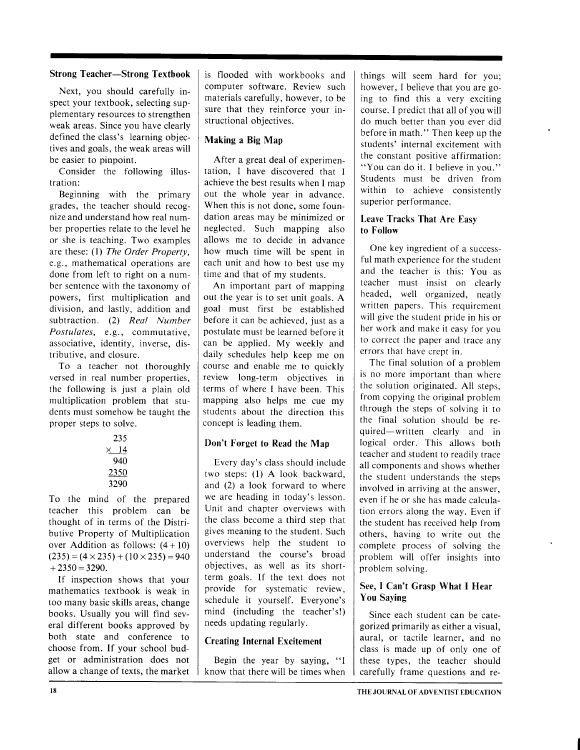#### Strong Teacher-Strong Textbook

Next, you should carefully inspect your textbook, selecting supplementary resources to strengthen weak areas. Since you have clearly defined the class's learning objectives and goals, the weak areas will be easier to pinpoint.

Consider the following illustration:

Beginning with the primary grades, the teacher should recognize and understand how real number properties relate to the level he or she is teaching. Two examples are these: (1) The Order Property, e.g., mathematical operations are done from left to right on a number sentence with the taxonomy of powers, first multiplication and division, and lastly, addition and subtraction. (2) Real Number Postulates, e.g., commutative, associative, identity, inverse, distributive, and closure.

To a teacher not thoroughly versed in real number properties, the following is just a plain old multiplication problem that students must somehow be taueht the proper steps to solve.

| 235  |             |  |
|------|-------------|--|
|      | $\times$ 14 |  |
|      | 940         |  |
| 2350 |             |  |
|      | 3290        |  |

To the mind of the prepared teacher this problem can be thought of in terms of the Distributive Property of Multiplication over Addition as follows:  $(4+10)$  $(235) = (4 \times 235) + (10 \times 235) = 940$  $+2350=3290.$ 

If inspection shows that your mathematics textbook is weak in too many basic skills areas, change books. Usually you will find several different books approved by both state and conference to choose from. If your school budget or administration does not allow a change of texts, the market is flooded with workbooks and computer software. Review such materials carefully, however, to be sure that they reinforce your instructional objectives.

#### Making a Big Map

After a great deal of experimentation, I have discovered that I achieve the best results when I map out the whole year in advance. When this is not done, some foundation areas may be minimized or neglected. Such mapping also allows me to decide in advance how much time will be spent in each unit and how to best use my time and that of my students.

An important part of mapping out the year is to set unit goals. A goal must first be established before it can be achieved, just as a postulate must be learned before it can be applied. My weekly and daily schedules help keep me on course and enable me to quickly review long-term objectives in terms of where I have been. This mapping also helps me cue my students about the direction this concept is leading them.

#### Don't Forget to Read the Map

Every day's class should include two steps: (l) A look backward, and (2) a look forward to where we are heading in today's lesson. Unit and chapter overviews with the class become a third step that gives meaning to the student. Such overviews help the student to understand the course's broad objectives, as well as its shortterm goals. If the text does not provide for systematic review, schedule it yourself. Everyone's mind (including the teacher's!) needs updating regularly.

#### Creating Internal Excitement

Begin the year by saying, "l know that there will be times when

things will seem hard for you; however, I believe that you are going to find this a very exciting course. I predict that all of you will do much better than you ever did before in math." Then keep up the students' internal excitement with the constant positive affirmation: "You can do it. I believe in you." Students must be driven from within to achieve consistently superior performance.

#### Leave Tracks That Are Easv to Follow

One key ingredient of a successful math cxperience for the student and the teacher is this: You as tcacher must insist on clearly headed, well organized, neatly written papers. This requirement will give the student pride in his or her work and make it easy for you to correct the paper and trace any errors that have crept in.

The final solution of a problem is no more important than where the solution originated. All steps, from copying the original problem through the steps of solving it to the final solution should be required-written clearly and in logical order. This allows both teacher and student to readily trace all components and shows whether the student understands the steps involved in arriving at the answer, even if he or she has made calculation errors along the way. Even if the student has received help from others, having to write out the complete process of solving the problem will offer insights into problem solving.

#### See, I Can't Grasp What I Hear You Saying

Since each student can be categorized primarily as either a visual, aural, or tactile learner, and no class is made up of only one of these types, the teacher should carefully frame questions and re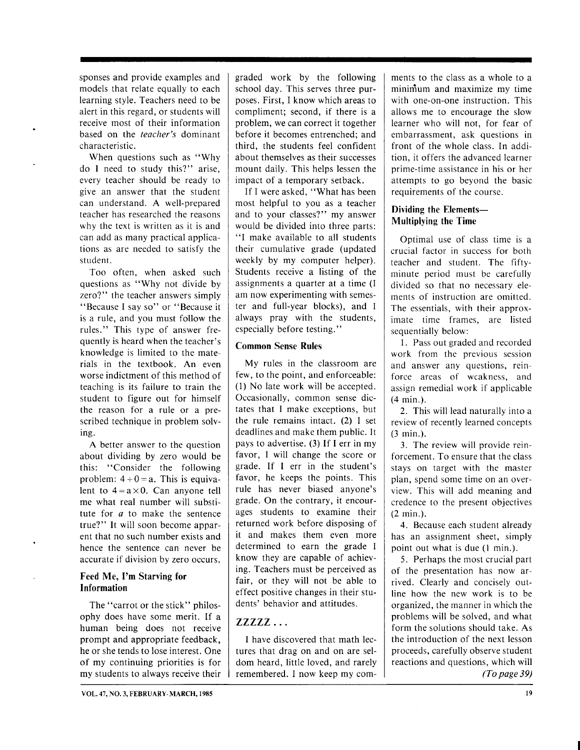sponses and provide examples and models that relate equally to each learning style. Teachers need to be alert in this regard, or students will receive most of their information based on the *teacher's* dominant characteristic.

When questions such as "Why do I need to study this?" arise, every teacher should be ready to give an answer that the student can understand. A well-prepared teacher has researched the reasons why the text is written as it is and can add as many practical applications as are needed to satisfv the student.

Too often, when asked such questions as "Why not divide by zero?" the teacher answers simply "Because I say so" or "Because it is a rule, and you must follow the rules." This type of answer frequently is heard when the teacher's knowledge is limited to the materials in the textbook. An even worse indictment of this method of teaching is its failure to train the student to figure out for himself the reason for a rule or a prescribed technique in problem solving.

A better answer to the question about dividing by zero would be this: "Consider the following problem:  $4 \div 0 = a$ . This is equivalent to  $4 = a \times 0$ . Can anyone tell me what real number will substitute for  $a$  to make the sentence true?" It will soon become apparent that no such number exists and hence the sentence can never be accurate if division by zero occurs.

#### Feed Me, I'm Starving for Information

The "carrot or the stick" philosophy does have some merit. If a human being does not receive prompt and appropriate feedback, he or she tends to lose interest. One of my continuing priorities is for my students to always receive their graded work by the following school day. This serves three purposes. First, I know which areas to compliment; second, if there is a problem, we can correct it together before it becomes entrenched; and third, the students feel confident about themselves as their successes mount daily. This helps lessen the impact of a temporary setback.

If I were asked, "What has been most helpful to you as a teacher and to your classes?" my answer would be divided into three parts: "I make available to all students their cumulative grade (updated weekly by my computer helper). Students receive a listing of the assignments a quarter at a time (I am now experimenting with semester and full-year blocks), and I always pray with the students, especially before testing."

#### Common Sense Rules

My rules in the classroom are few, to the point, and enforceable: (l) No late work will be accepted. Occasionally, common sense dictates that I make exceptions, but the rule remains intact. (2) I set deadlines and make them public. It pays to advertise. (3) If I err in my favor, I will change the score or grade. If I err in the student's favor, he keeps the points. This rule has never biased anyone's grade. On the contrary, it encourages students to examine their returned work before disposing of it and makes them even more determined to earn the grade I know they are capable of achieving. Teachers must be perceived as fair, or they will not be able to effect positive changes in their students' behavior and attitudes.

#### $ZZZZ...$

I have discovered that math lectures that drag on and on are seldom heard, little loved, and rarely remembered. I now keep my comments to the class as a whole to a mininium and maximize my time with one-on-one instruction. This allows me to encourage the slow learner who will not, for fear of embarrassment, ask questions in front of the whole class. In addition, it offers the advanced learner prime-time assistance in his or her attempts to go beyond the basic requirements of the course.

#### Dividing the Elements-Multiplying the Time

Optimal use of class time is a crucial factor in success for both teacher and student. The fiftyminute period must be carefully divided so that no necessary elements of instruction are omitted. The essentials, with their approximate time frames, are listed sequentially below:

1. Pass out graded and recorded work from the previous session and answer any questions, reinforce areas of weakness, and assign remedial work if applicable (4 min.).

2. This will lead naturally into a review of recently learned concepts (3 min.).

3. The review will provide reinforcement. To ensure that the class stays on target with the master plan, spend some time on an overview. This will add meaning and credence to the present objectives (2 min.).

4. Because each student already has an assignment sheet, simply point out what is due (l min.).

5. Perhaps the most crucial part of the presentation has now arrived. Clearly and concisely outline how the new work is to be organized, the manner in which the problems will be solved, and what form the solutions should take. As the introduction of the next lesson proceeds, carefully observe student reactions and questions, which will (To page 39)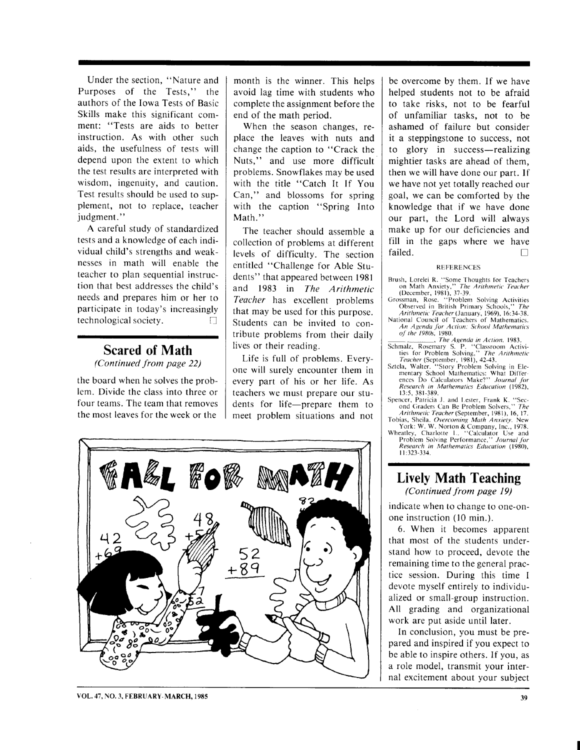Under the section, "Nature and Purposes of the Tests," the authors of the Iowa Tests of Basic Skills make this significant comment: "Tests are aids to better instruction. As with other such aids, the usefulness of tests will depend upon the extent to which the test results are interpreted with wisdom, ingenuity, and caution. Test results should be used to supplement, not to replace, teacher judgment."

A careful study of standardized tests and a knowledge of each individual child's strengths and weaknesses in math will enable the teacher to plan sequential instruction that best addresses the child's needs and prepares him or her to participate in today's increasingly technological society.  $\Box$ 

#### Scared of Math (Continued from page 22)

the board when he solves the problem. Divide the class into three or four teams. The team that removes the most leaves for the week or the

month is the winner. This helps avoid lag time with students who complete the assignment before the end of the math period.

When the season changes, replace the leaves with nuts and change the caption to "Crack the Nuts," and use more difficult problems. Snowflakes may be used with the title "Catch It If You Can," and blossoms for spring with the caption "Spring Into Math."

The teacher should assemble a collection of problems at different levels of difficulty. The section entitled "Challenge for Able Students" that appeared between l98l and 1983 in The Arithmetic Teacher has excellent problems that may be used for this purpose. Students can be invited to contribute problems from their daily lives or their reading.

Life is full of problems. Everyone will surely encounter them in every part of his or her life. As teachers we must prepare our students for life-prepare them to meet problem situations and not

be overcome by them. If we have helped students not to be afraid to take risks, not to be fearful of unfamiliar tasks, not to be ashamed of failure but consider it a steppingstone to success, not to glory in success-realizing mightier tasks are ahead of them, then we will have done our part. If we have not yet totally reached our goal, we can be comforted by the knowledge that if we have done our part, the Lord will always make up for our deficiencies and fill in the gaps where we have failed.  $\Box$ 

#### **REFERENCES**

- Brush, Lorelei R. "Some Thoughts for Teachers<br>
on Math Anxiety," The Arithmetic Teacher<br>
(December, 1981), 37-39.<br>
Grossman, Rosc. "Problem Solving Activities<br>
Observed in British Primary Schools," The
- Arithmetic Teacher (January, 1969), 16:34-38.
- National Council of Teachers of Mathematics. An Agenda for Action: School Mathematics of the 1980s, 1980.
- 
- The Agenda in Action. 1983.<br>Schmalz, Rosemary S. P. "Classroom Activi-<br>ties for Problem Solving," The Arithmetic
- Feacher (September, 1981), 42-43.<br>Sztela, Walter. "Story Problem Solving in Elementary School Mathematics: What Differ<br>ences Do Calculators Make?'' Journal fo Research in Mathematics Education (1982),

13:5, 381-389.<br>Spencer, Patricia J. and Lester, Frank K. "Sec-<br>ond Graders Can Be Problem Solvers," *The* 

Arithmetic Teacher (September, 1981), 16, 17.<br>Tobias, Sheila. Overcoming Math Anxiety. New York: W. W. Norton & Company, lnc., 1978. Wheatley, Charlotte t.. "Calculator Use and

Problem Solving Performance," Journal for Research in Mathematics Education (1980), I l:323-334.

## Lively Math Teaching

(Continued from page I9)

indicate when to change to one-onone instruction (10 min.).

6. When it becomes apparent that most of the students understand how to proceed, devote the remaining time to the general practice session. During this time I devote myself entirely to individualized or small-group instruction. All grading and organizational work are put aside until later.

In conclusion, you must be prepared and inspired if you expect to be able to inspire others. If you, as a role model, transmit your internal excitement about your subject



VOL. 47, NO. 3. Ff BRUARY. MARCH. 1985